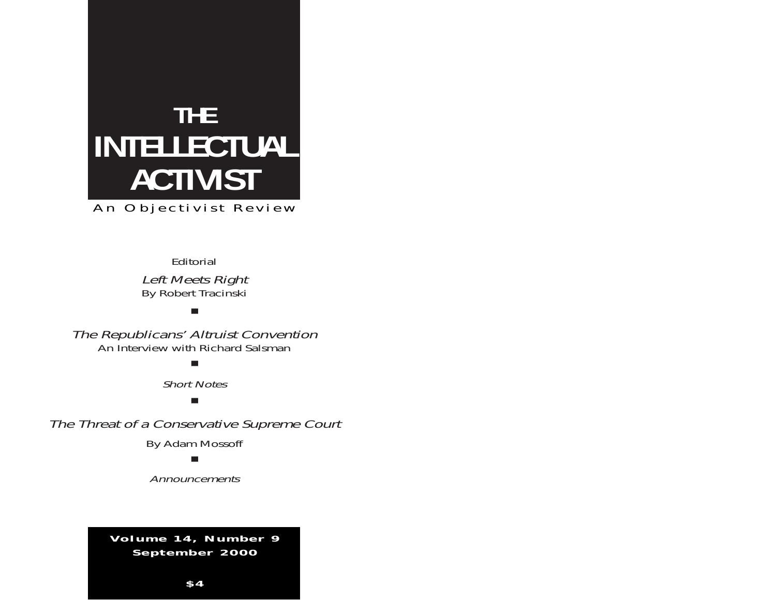## **THE INTELLECTUAL ACTIVIST**

An Objectivist Review

Editorial

Left Meets Right By Robert Tracinski

■

The Republicans' Altruist Convention An Interview with Richard Salsman

■

Short Notes

■

The Threat of a Conservative Supreme Court

By Adam Mossoff

■

Announcements

**Volume 14, Number 9 September 2000**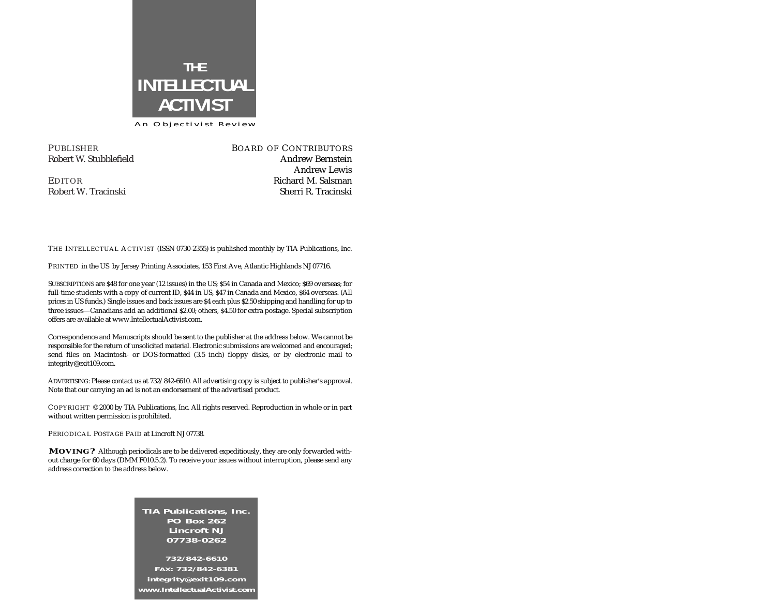

PUBLISHER Robert W. Stubblefield

EDITOR Robert W. Tracinski BOARD OF CONTRIBUTORS Andrew Bernstein Andrew Lewis Richard M. Salsman Sherri R. Tracinski

THE INTELLECTUAL ACTIVIST (ISSN 0730-2355) is published monthly by TIA Publications, Inc.

PRINTED in the US by Jersey Printing Associates, 153 First Ave, Atlantic Highlands NJ 07716.

SUBSCRIPTIONS are \$48 for one year (12 issues) in the US; \$54 in Canada and Mexico; \$69 overseas; for full-time students with a copy of current ID, \$44 in US, \$47 in Canada and Mexico, \$64 overseas. (All prices in US funds.) Single issues and back issues are \$4 each plus \$2.50 shipping and handling for up to three issues—Canadians add an additional \$2.00; others, \$4.50 for extra postage. Special subscription offers are available at www.IntellectualActivist.com.

Correspondence and Manuscripts should be sent to the publisher at the address below. We cannot be responsible for the return of unsolicited material. Electronic submissions are welcomed and encouraged; send files on Macintosh- or DOS-formatted (3.5 inch) floppy disks, or by electronic mail to integrity@exit109.com.

ADVERTISING: Please contact us at 732/842-6610. All advertising copy is subject to publisher's approval. Note that our carrying an ad is not an endorsement of the advertised product.

COPYRIGHT © 2000 by TIA Publications, Inc. All rights reserved. Reproduction in whole or in part without written permission is prohibited.

PERIODICAL POSTAGE PAID at Lincroft NJ 07738.

 ${\bf MOVING?}\;$  Although periodicals are to be delivered expeditiously, they are only forwarded without charge for 60 days (DMM F010.5.2). To receive your issues without interruption, please send any address correction to the address below.

> **TIA Publications, Inc. PO Box 262 Lincroft NJ 07738-0262 732/842-6610 FAX: 732/842-6381**

**integrity@exit109.com www.IntellectualActivist.com**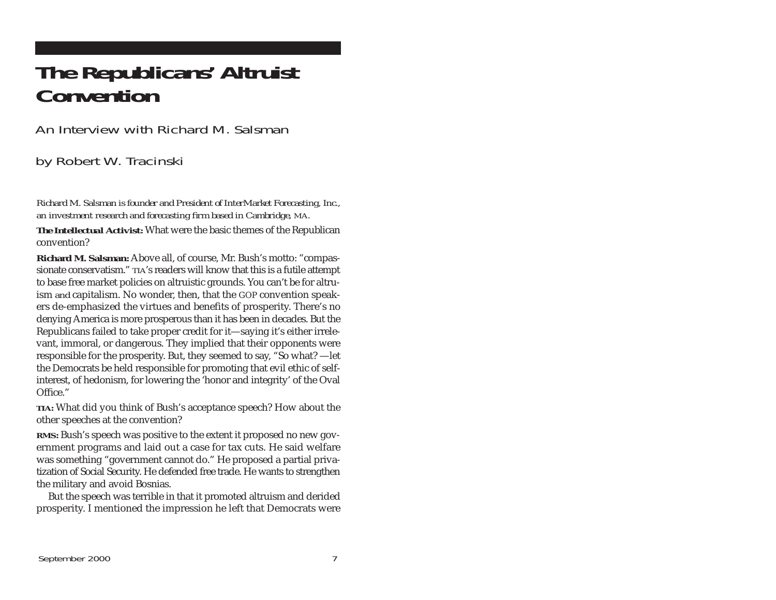## **The Republicans' Altruist Convention**

An Interview with Richard M. Salsman

by Robert W. Tracinski

*Richard M. Salsman is founder and President of InterMarket Forecasting, Inc., an investment research and forecasting firm based in Cambridge, MA.*

*The Intellectual Activist:* What were the basic themes of the Republican convention?

**Richard M. Salsman:** Above all, of course, Mr. Bush's motto: "compassionate conservatism." *TIA*'s readers will know that this is a futile attempt to base free market policies on altruistic grounds. You can't be for altruism *and* capitalism. No wonder, then, that the GOP convention speakers de-emphasized the virtues and benefits of prosperity. There's no denying America is more prosperous than it has been in decades. But the Republicans failed to take proper credit for it—saying it's either irrelevant, immoral, or dangerous. They implied that their opponents were responsible for the prosperity. But, they seemed to say, "So what? —let the Democrats be held responsible for promoting that evil ethic of selfinterest, of hedonism, for lowering the 'honor and integrity' of the Oval Office."

*TIA:* What did you think of Bush's acceptance speech? How about the other speeches at the convention?

RMS: Bush's speech was positive to the extent it proposed no new government programs and laid out a case for tax cuts. He said welfare was something "government cannot do." He proposed a partial privatization of Social Security. He defended free trade. He wants to strengthen the military and avoid Bosnias.

But the speech was terrible in that it promoted altruism and derided prosperity. I mentioned the impression he left that Democrats were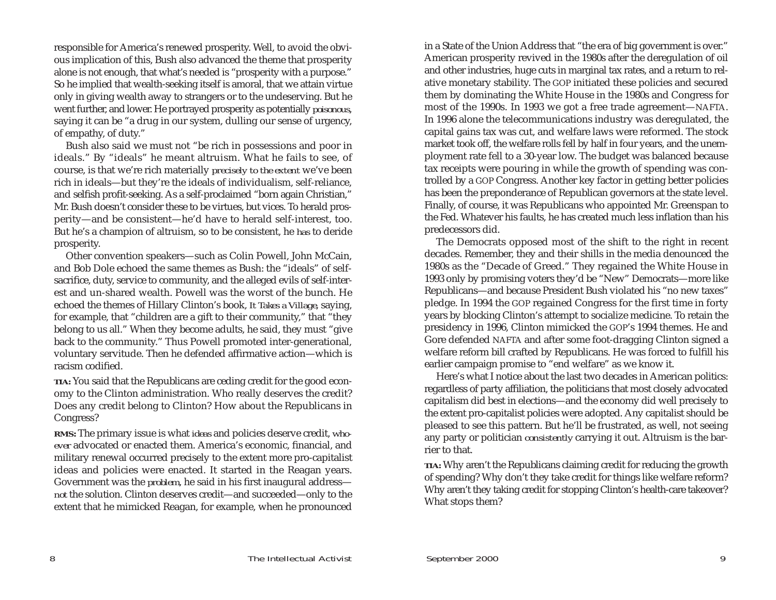responsible for America's renewed prosperity. Well, to avoid the obvious implication of this, Bush also advanced the theme that prosperity alone is not enough, that what's needed is "prosperity with a purpose." So he implied that wealth-seeking itself is amoral, that we attain virtue only in giving wealth away to strangers or to the undeserving. But he went further, and lower. He portrayed prosperity as potentially *poisonous*, saying it can be "a drug in our system, dulling our sense of urgency, of empathy, of duty."

Bush also said we must not "be rich in possessions and poor in ideals." By "ideals" he meant altruism. What he fails to see, of course, is that we're rich materially *precisely to the extent* we've been rich in ideals—but they're the ideals of individualism, self-reliance, and selfish profit-seeking. As a self-proclaimed "born again Christian," Mr. Bush doesn't consider these to be virtues, but vices. To herald prosperity—and be consistent—he'd have to herald self-interest, too. But he's a champion of altruism, so to be consistent, he *has* to deride prosperity.

Other convention speakers—such as Colin Powell, John McCain, and Bob Dole echoed the same themes as Bush: the "ideals" of selfsacrifice, duty, service to community, and the alleged evils of self-interest and un-shared wealth. Powell was the worst of the bunch. He echoed the themes of Hillary Clinton's book, *It Takes a Village*, saying, for example, that "children are a gift to their community," that "they belong to us all." When they become adults, he said, they must "give back to the community." Thus Powell promoted inter-generational, voluntary servitude. Then he defended affirmative action—which is racism codified.

*TIA:* You said that the Republicans are ceding credit for the good economy to the Clinton administration. Who really deserves the credit? Does any credit belong to Clinton? How about the Republicans in Congress?

**RMS:** The primary issue is what *ideas* and policies deserve credit, *whoever* advocated or enacted them. America's economic, financial, and military renewal occurred precisely to the extent more pro-capitalist ideas and policies were enacted. It started in the Reagan years. Government was the *problem*, he said in his first inaugural address *not* the solution. Clinton deserves credit—and succeeded—only to the extent that he mimicked Reagan, for example, when he pronounced

in a State of the Union Address that "the era of big government is over." American prosperity revived in the 1980s after the deregulation of oil and other industries, huge cuts in marginal tax rates, and a return to relative monetary stability. The GOP initiated these policies and secured them by dominating the White House in the 1980s and Congress for most of the 1990s. In 1993 we got a free trade agreement—NAFTA. In 1996 alone the telecommunications industry was deregulated, the capital gains tax was cut, and welfare laws were reformed. The stock market took off, the welfare rolls fell by half in four years, and the unemployment rate fell to a 30-year low. The budget was balanced because tax receipts were pouring in while the growth of spending was controlled by a GOP Congress. Another key factor in getting better policies has been the preponderance of Republican governors at the state level. Finally, of course, it was Republicans who appointed Mr. Greenspan to the Fed. Whatever his faults, he has created much less inflation than his predecessors did.

The Democrats opposed most of the shift to the right in recent decades. Remember, they and their shills in the media denounced the 1980s as the "Decade of Greed." They regained the White House in 1993 only by promising voters they'd be "New" Democrats—more like Republicans—and because President Bush violated his "no new taxes" pledge. In 1994 the GOP regained Congress for the first time in forty years by blocking Clinton's attempt to socialize medicine. To retain the presidency in 1996, Clinton mimicked the GOP's 1994 themes. He and Gore defended NAFTA and after some foot-dragging Clinton signed a welfare reform bill crafted by Republicans. He was forced to fulfill his earlier campaign promise to "end welfare" as we know it.

Here's what I notice about the last two decades in American politics: regardless of party affiliation, the politicians that most closely advocated capitalism did best in elections—and the economy did well precisely to the extent pro-capitalist policies were adopted. Any capitalist should be pleased to see this pattern. But he'll be frustrated, as well, not seeing any party or politician *consistently* carrying it out. Altruism is the barrier to that.

*TIA:* Why aren't the Republicans claiming credit for reducing the growth of spending? Why don't they take credit for things like welfare reform? Why aren't they taking credit for stopping Clinton's health-care takeover? What stops them?